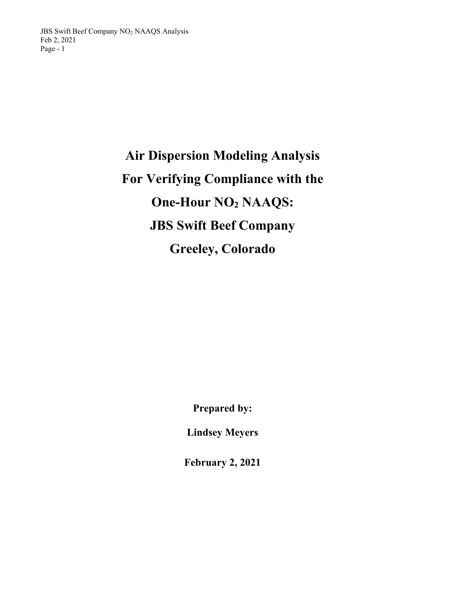# **Air Dispersion Modeling Analysis For Verifying Compliance with the One-Hour NO2 NAAQS: JBS Swift Beef Company Greeley, Colorado**

**Prepared by:** 

**Lindsey Meyers** 

**February 2, 2021**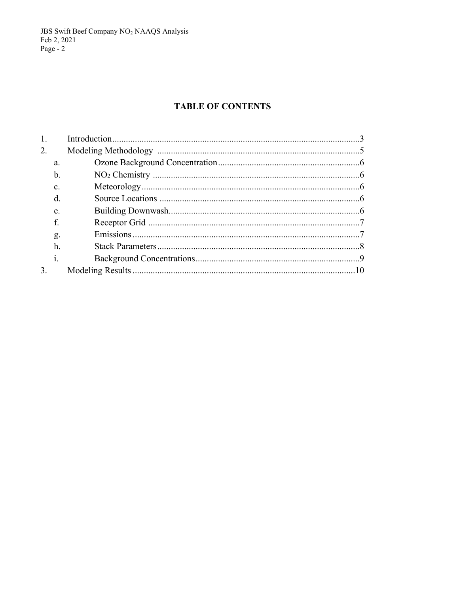JBS Swift Beef Company NO<sub>2</sub> NAAQS Analysis<br>Feb 2, 2021<br>Page - 2

## **TABLE OF CONTENTS**

| 1. |                |  |  |  |  |  |
|----|----------------|--|--|--|--|--|
| 2. |                |  |  |  |  |  |
|    | a.             |  |  |  |  |  |
|    | $\mathbf b$    |  |  |  |  |  |
|    | C.             |  |  |  |  |  |
|    | d.             |  |  |  |  |  |
|    | e.             |  |  |  |  |  |
|    |                |  |  |  |  |  |
|    | g.             |  |  |  |  |  |
|    | h.             |  |  |  |  |  |
|    | $\mathbf{i}$ . |  |  |  |  |  |
| 3. |                |  |  |  |  |  |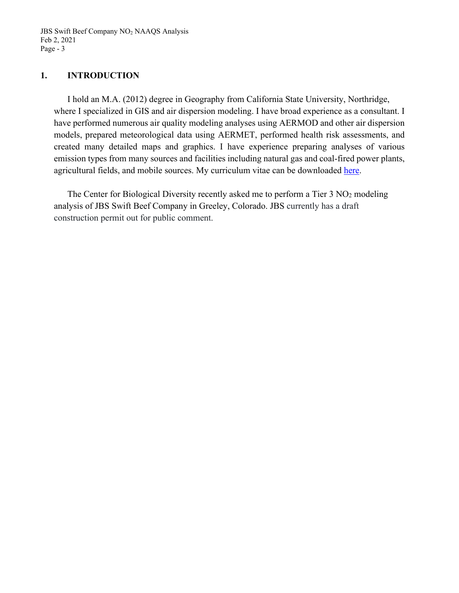JBS Swift Beef Company NO<sub>2</sub> NAAQS Analysis Feb 2, 2021 Page - 3

## **1. INTRODUCTION**

I hold an M.A. (2012) degree in Geography from California State University, Northridge, where I specialized in GIS and air dispersion modeling. I have broad experience as a consultant. I have performed numerous air quality modeling analyses using AERMOD and other air dispersion models, prepared meteorological data using AERMET, performed health risk assessments, and created many detailed maps and graphics. I have experience preparing analyses of various emission types from many sources and facilities including natural gas and coal-fired power plants, agricultural fields, and mobile sources. My curriculum vitae can be downloaded here.

The Center for Biological Diversity recently asked me to perform a Tier  $3 \text{ NO}_2$  modeling analysis of JBS Swift Beef Company in Greeley, Colorado. JBS currently has a draft construction permit out for public comment.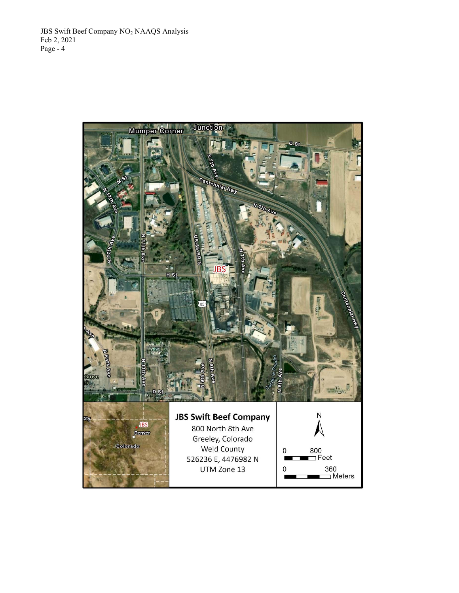JBS Swift Beef Company NO2 NAAQS Analysis Feb 2, 2021 Page -  $4$ 

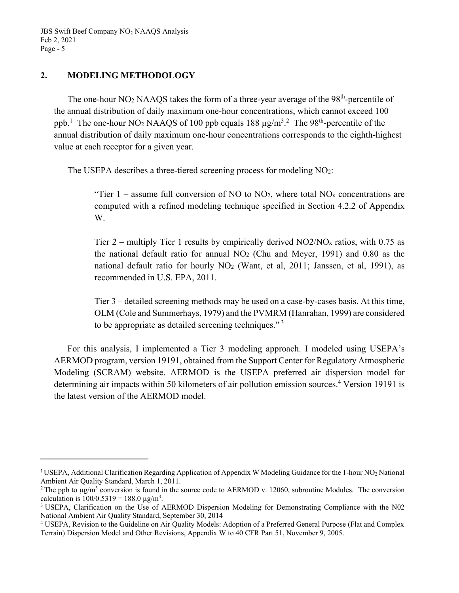## **2. MODELING METHODOLOGY**

The one-hour  $NO<sub>2</sub> NAAQS$  takes the form of a three-year average of the  $98<sup>th</sup>$ -percentile of the annual distribution of daily maximum one-hour concentrations, which cannot exceed 100 ppb.<sup>1</sup> The one-hour NO<sub>2</sub> NAAQS of 100 ppb equals 188  $\mu$ g/m<sup>3</sup>.<sup>2</sup> The 98<sup>th</sup>-percentile of the annual distribution of daily maximum one-hour concentrations corresponds to the eighth-highest value at each receptor for a given year.

The USEPA describes a three-tiered screening process for modeling NO2:

"Tier 1 – assume full conversion of NO to  $NO<sub>2</sub>$ , where total  $NO<sub>x</sub>$  concentrations are computed with a refined modeling technique specified in Section 4.2.2 of Appendix W.

Tier  $2$  – multiply Tier 1 results by empirically derived NO2/NO<sub>x</sub> ratios, with 0.75 as the national default ratio for annual  $NO<sub>2</sub>$  (Chu and Meyer, 1991) and 0.80 as the national default ratio for hourly  $NO<sub>2</sub>$  (Want, et al, 2011; Janssen, et al, 1991), as recommended in U.S. EPA, 2011.

Tier 3 – detailed screening methods may be used on a case-by-cases basis. At this time, OLM (Cole and Summerhays, 1979) and the PVMRM (Hanrahan, 1999) are considered to be appropriate as detailed screening techniques." $3$ 

For this analysis, I implemented a Tier 3 modeling approach. I modeled using USEPA's AERMOD program, version 19191, obtained from the Support Center for Regulatory Atmospheric Modeling (SCRAM) website. AERMOD is the USEPA preferred air dispersion model for determining air impacts within 50 kilometers of air pollution emission sources.<sup>4</sup> Version 19191 is the latest version of the AERMOD model.

<sup>&</sup>lt;sup>1</sup> USEPA, Additional Clarification Regarding Application of Appendix W Modeling Guidance for the 1-hour NO<sub>2</sub> National Ambient Air Quality Standard, March 1, 2011.

<sup>&</sup>lt;sup>2</sup> The ppb to  $\mu g/m^3$  conversion is found in the source code to AERMOD v. 12060, subroutine Modules. The conversion calculation is  $100/0.5319 = 188.0 \text{ µg/m}^3$ .

<sup>. 3</sup> USEPA, Clarification on the Use of AERMOD Dispersion Modeling for Demonstrating Compliance with the N02 National Ambient Air Quality Standard, September 30, 2014 4

USEPA, Revision to the Guideline on Air Quality Models: Adoption of a Preferred General Purpose (Flat and Complex Terrain) Dispersion Model and Other Revisions, Appendix W to 40 CFR Part 51, November 9, 2005.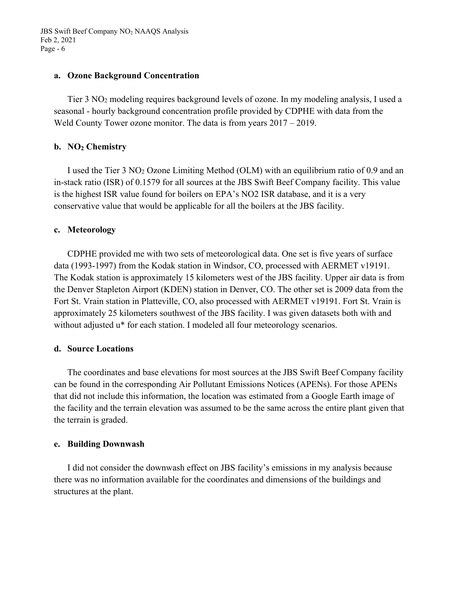#### **a. Ozone Background Concentration**

Tier 3 NO2 modeling requires background levels of ozone. In my modeling analysis, I used a seasonal - hourly background concentration profile provided by CDPHE with data from the Weld County Tower ozone monitor. The data is from years  $2017 - 2019$ .

## **b. NO2 Chemistry**

I used the Tier 3 NO2 Ozone Limiting Method (OLM) with an equilibrium ratio of 0.9 and an in-stack ratio (ISR) of 0.1579 for all sources at the JBS Swift Beef Company facility. This value is the highest ISR value found for boilers on EPA's NO2 ISR database, and it is a very conservative value that would be applicable for all the boilers at the JBS facility.

#### **c. Meteorology**

CDPHE provided me with two sets of meteorological data. One set is five years of surface data (1993-1997) from the Kodak station in Windsor, CO, processed with AERMET v19191. The Kodak station is approximately 15 kilometers west of the JBS facility. Upper air data is from the Denver Stapleton Airport (KDEN) station in Denver, CO. The other set is 2009 data from the Fort St. Vrain station in Platteville, CO, also processed with AERMET v19191. Fort St. Vrain is approximately 25 kilometers southwest of the JBS facility. I was given datasets both with and without adjusted u\* for each station. I modeled all four meteorology scenarios.

#### **d. Source Locations**

The coordinates and base elevations for most sources at the JBS Swift Beef Company facility can be found in the corresponding Air Pollutant Emissions Notices (APENs). For those APENs that did not include this information, the location was estimated from a Google Earth image of the facility and the terrain elevation was assumed to be the same across the entire plant given that the terrain is graded.

#### **e. Building Downwash**

I did not consider the downwash effect on JBS facility's emissions in my analysis because there was no information available for the coordinates and dimensions of the buildings and structures at the plant.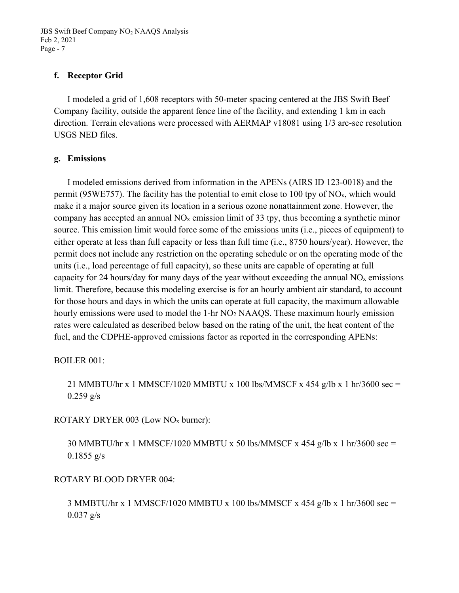## **f. Receptor Grid**

I modeled a grid of 1,608 receptors with 50-meter spacing centered at the JBS Swift Beef Company facility, outside the apparent fence line of the facility, and extending 1 km in each direction. Terrain elevations were processed with AERMAP v18081 using 1/3 arc-sec resolution USGS NED files.

## **g. Emissions**

I modeled emissions derived from information in the APENs (AIRS ID 123-0018) and the permit (95WE757). The facility has the potential to emit close to 100 tpy of  $NO<sub>x</sub>$ , which would make it a major source given its location in a serious ozone nonattainment zone. However, the company has accepted an annual  $NO<sub>x</sub>$  emission limit of 33 tpy, thus becoming a synthetic minor source. This emission limit would force some of the emissions units (i.e., pieces of equipment) to either operate at less than full capacity or less than full time (i.e., 8750 hours/year). However, the permit does not include any restriction on the operating schedule or on the operating mode of the units (i.e., load percentage of full capacity), so these units are capable of operating at full capacity for 24 hours/day for many days of the year without exceeding the annual  $NO<sub>x</sub>$  emissions limit. Therefore, because this modeling exercise is for an hourly ambient air standard, to account for those hours and days in which the units can operate at full capacity, the maximum allowable hourly emissions were used to model the 1-hr NO<sub>2</sub> NAAQS. These maximum hourly emission rates were calculated as described below based on the rating of the unit, the heat content of the fuel, and the CDPHE-approved emissions factor as reported in the corresponding APENs:

## BOILER 001:

21 MMBTU/hr x 1 MMSCF/1020 MMBTU x 100 lbs/MMSCF x 454 g/lb x 1 hr/3600 sec =  $0.259$  g/s

ROTARY DRYER 003 (Low NOx burner):

30 MMBTU/hr x 1 MMSCF/1020 MMBTU x 50 lbs/MMSCF x 454 g/lb x 1 hr/3600 sec =  $0.1855$  g/s

## ROTARY BLOOD DRYER 004:

3 MMBTU/hr x 1 MMSCF/1020 MMBTU x 100 lbs/MMSCF x 454 g/lb x 1 hr/3600 sec =  $0.037$  g/s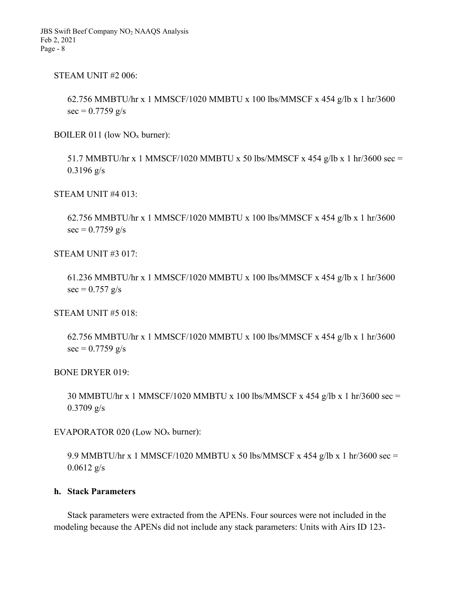STEAM UNIT #2 006:

 62.756 MMBTU/hr x 1 MMSCF/1020 MMBTU x 100 lbs/MMSCF x 454 g/lb x 1 hr/3600  $sec = 0.7759$  g/s

BOILER 011 (low NOx burner):

51.7 MMBTU/hr x 1 MMSCF/1020 MMBTU x 50 lbs/MMSCF x 454 g/lb x 1 hr/3600 sec = 0.3196 g/s

STEAM UNIT #4 013:

62.756 MMBTU/hr x 1 MMSCF/1020 MMBTU x 100 lbs/MMSCF x 454 g/lb x 1 hr/3600  $\sec = 0.7759$  g/s

STEAM UNIT #3 017:

61.236 MMBTU/hr x 1 MMSCF/1020 MMBTU x 100 lbs/MMSCF x 454 g/lb x 1 hr/3600  $sec = 0.757$  g/s

STEAM UNIT #5 018:

62.756 MMBTU/hr x 1 MMSCF/1020 MMBTU x 100 lbs/MMSCF x 454 g/lb x 1 hr/3600  $sec = 0.7759$  g/s

BONE DRYER 019:

30 MMBTU/hr x 1 MMSCF/1020 MMBTU x 100 lbs/MMSCF x 454 g/lb x 1 hr/3600 sec = 0.3709 g/s

EVAPORATOR 020 (Low NOx burner):

9.9 MMBTU/hr x 1 MMSCF/1020 MMBTU x 50 lbs/MMSCF x 454 g/lb x 1 hr/3600 sec = 0.0612 g/s

### **h. Stack Parameters**

Stack parameters were extracted from the APENs. Four sources were not included in the modeling because the APENs did not include any stack parameters: Units with Airs ID 123-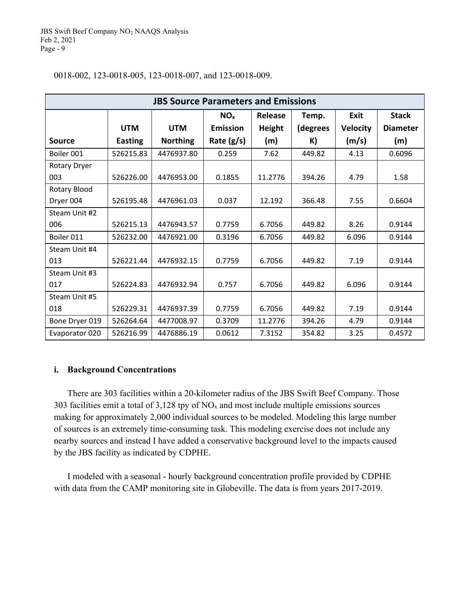| <b>JBS Source Parameters and Emissions</b> |                |                 |                 |               |          |                 |                 |  |  |
|--------------------------------------------|----------------|-----------------|-----------------|---------------|----------|-----------------|-----------------|--|--|
|                                            |                |                 | NO <sub>x</sub> | Release       | Temp.    | <b>Exit</b>     | <b>Stack</b>    |  |  |
|                                            | <b>UTM</b>     | <b>UTM</b>      | <b>Emission</b> | <b>Height</b> | (degrees | <b>Velocity</b> | <b>Diameter</b> |  |  |
| Source                                     | <b>Easting</b> | <b>Northing</b> | Rate $(g/s)$    | (m)           | K)       | (m/s)           | (m)             |  |  |
| Boiler 001                                 | 526215.83      | 4476937.80      | 0.259           | 7.62          | 449.82   | 4.13            | 0.6096          |  |  |
| Rotary Dryer                               |                |                 |                 |               |          |                 |                 |  |  |
| 003                                        | 526226.00      | 4476953.00      | 0.1855          | 11.2776       | 394.26   | 4.79            | 1.58            |  |  |
| Rotary Blood                               |                |                 |                 |               |          |                 |                 |  |  |
| Dryer 004                                  | 526195.48      | 4476961.03      | 0.037           | 12.192        | 366.48   | 7.55            | 0.6604          |  |  |
| Steam Unit #2                              |                |                 |                 |               |          |                 |                 |  |  |
| 006                                        | 526215.13      | 4476943.57      | 0.7759          | 6.7056        | 449.82   | 8.26            | 0.9144          |  |  |
| Boiler 011                                 | 526232.00      | 4476921.00      | 0.3196          | 6.7056        | 449.82   | 6.096           | 0.9144          |  |  |
| Steam Unit #4                              |                |                 |                 |               |          |                 |                 |  |  |
| 013                                        | 526221.44      | 4476932.15      | 0.7759          | 6.7056        | 449.82   | 7.19            | 0.9144          |  |  |
| Steam Unit #3                              |                |                 |                 |               |          |                 |                 |  |  |
| 017                                        | 526224.83      | 4476932.94      | 0.757           | 6.7056        | 449.82   | 6.096           | 0.9144          |  |  |
| Steam Unit #5                              |                |                 |                 |               |          |                 |                 |  |  |
| 018                                        | 526229.31      | 4476937.39      | 0.7759          | 6.7056        | 449.82   | 7.19            | 0.9144          |  |  |
| Bone Dryer 019                             | 526264.64      | 4477008.97      | 0.3709          | 11.2776       | 394.26   | 4.79            | 0.9144          |  |  |
| Evaporator 020                             | 526216.99      | 4476886.19      | 0.0612          | 7.3152        | 354.82   | 3.25            | 0.4572          |  |  |

#### 0018-002, 123-0018-005, 123-0018-007, and 123-0018-009.

#### **i. Background Concentrations**

There are 303 facilities within a 20-kilometer radius of the JBS Swift Beef Company. Those 303 facilities emit a total of  $3,128$  tpy of NO<sub>x</sub> and most include multiple emissions sources making for approximately 2,000 individual sources to be modeled. Modeling this large number of sources is an extremely time-consuming task. This modeling exercise does not include any nearby sources and instead I have added a conservative background level to the impacts caused by the JBS facility as indicated by CDPHE.

I modeled with a seasonal - hourly background concentration profile provided by CDPHE with data from the CAMP monitoring site in Globeville. The data is from years 2017-2019.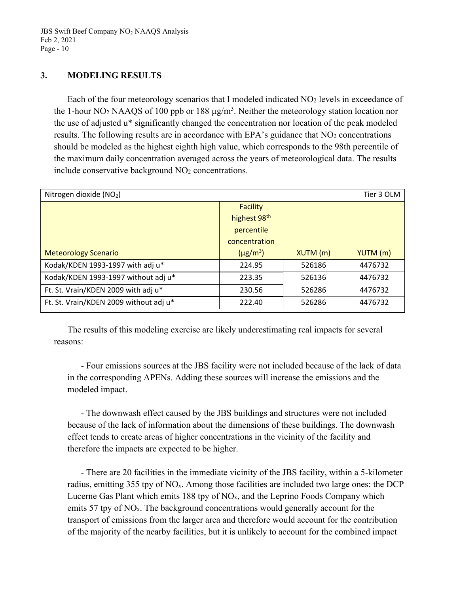## **3. MODELING RESULTS**

Each of the four meteorology scenarios that I modeled indicated NO2 levels in exceedance of the 1-hour NO<sub>2</sub> NAAQS of 100 ppb or 188  $\mu$ g/m<sup>3</sup>. Neither the meteorology station location nor the use of adjusted u\* significantly changed the concentration nor location of the peak modeled results. The following results are in accordance with EPA's guidance that  $NO<sub>2</sub>$  concentrations should be modeled as the highest eighth high value, which corresponds to the 98th percentile of the maximum daily concentration averaged across the years of meteorological data. The results include conservative background NO2 concentrations.

| Nitrogen dioxide (NO2)                 |                           | Tier 3 OLM |          |
|----------------------------------------|---------------------------|------------|----------|
|                                        | <b>Facility</b>           |            |          |
|                                        | highest 98th              |            |          |
|                                        | percentile                |            |          |
|                                        | concentration             |            |          |
| <b>Meteorology Scenario</b>            | $(\mu$ g/m <sup>3</sup> ) | $XUTM$ (m) | YUTM (m) |
| Kodak/KDEN 1993-1997 with adj u*       | 224.95                    | 526186     | 4476732  |
| Kodak/KDEN 1993-1997 without adj u*    | 223.35                    | 526136     | 4476732  |
| Ft. St. Vrain/KDEN 2009 with adj u*    | 230.56                    | 526286     | 4476732  |
| Ft. St. Vrain/KDEN 2009 without adj u* | 222.40                    | 526286     | 4476732  |
|                                        |                           |            |          |

The results of this modeling exercise are likely underestimating real impacts for several reasons:

- Four emissions sources at the JBS facility were not included because of the lack of data in the corresponding APENs. Adding these sources will increase the emissions and the modeled impact.

- The downwash effect caused by the JBS buildings and structures were not included because of the lack of information about the dimensions of these buildings. The downwash effect tends to create areas of higher concentrations in the vicinity of the facility and therefore the impacts are expected to be higher.

- There are 20 facilities in the immediate vicinity of the JBS facility, within a 5-kilometer radius, emitting 355 tpy of NOx. Among those facilities are included two large ones: the DCP Lucerne Gas Plant which emits 188 tpy of NOx, and the Leprino Foods Company which emits 57 tpy of NO<sub>x</sub>. The background concentrations would generally account for the transport of emissions from the larger area and therefore would account for the contribution of the majority of the nearby facilities, but it is unlikely to account for the combined impact